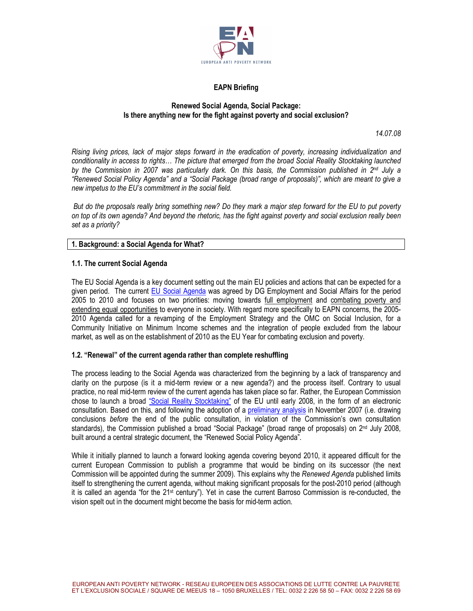

# EAPN Briefing

#### Renewed Social Agenda, Social Package: Is there anything new for the fight against poverty and social exclusion?

14.07.08

Rising living prices, lack of major steps forward in the eradication of poverty, increasing individualization and conditionality in access to rights… The picture that emerged from the broad Social Reality Stocktaking launched by the Commission in 2007 was particularly dark. On this basis, the Commission published in  $2^{nd}$  July a "Renewed Social Policy Agenda" and a "Social Package (broad range of proposals)", which are meant to give a new impetus to the EU's commitment in the social field.

 But do the proposals really bring something new? Do they mark a major step forward for the EU to put poverty on top of its own agenda? And beyond the rhetoric, has the fight against poverty and social exclusion really been set as a priority?

# 1. Background: a Social Agenda for What?

#### 1.1. The current Social Agenda

The EU Social Agenda is a key document setting out the main EU policies and actions that can be expected for a given period. The current EU Social Agenda was agreed by DG Employment and Social Affairs for the period 2005 to 2010 and focuses on two priorities: moving towards full employment and combating poverty and extending equal opportunities to everyone in society. With regard more specifically to EAPN concerns, the 2005- 2010 Agenda called for a revamping of the Employment Strategy and the OMC on Social Inclusion, for a Community Initiative on Minimum Income schemes and the integration of people excluded from the labour market, as well as on the establishment of 2010 as the EU Year for combating exclusion and poverty.

#### 1.2. "Renewal" of the current agenda rather than complete reshuffling

The process leading to the Social Agenda was characterized from the beginning by a lack of transparency and clarity on the purpose (is it a mid-term review or a new agenda?) and the process itself. Contrary to usual practice, no real mid-term review of the current agenda has taken place so far. Rather, the European Commission chose to launch a broad "Social Reality Stocktaking" of the EU until early 2008, in the form of an electronic consultation. Based on this, and following the adoption of a preliminary analysis in November 2007 (i.e. drawing conclusions before the end of the public consultation, in violation of the Commission's own consultation standards), the Commission published a broad "Social Package" (broad range of proposals) on 2<sup>nd</sup> July 2008, built around a central strategic document, the "Renewed Social Policy Agenda".

While it initially planned to launch a forward looking agenda covering beyond 2010, it appeared difficult for the current European Commission to publish a programme that would be binding on its successor (the next Commission will be appointed during the summer 2009). This explains why the Renewed Agenda published limits itself to strengthening the current agenda, without making significant proposals for the post-2010 period (although it is called an agenda "for the 21st century"). Yet in case the current Barroso Commission is re-conducted, the vision spelt out in the document might become the basis for mid-term action.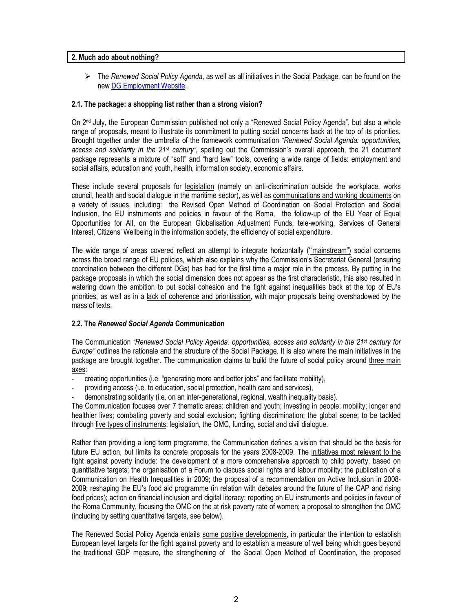#### 2. Much ado about nothing?

 $\triangleright$  The Renewed Social Policy Agenda, as well as all initiatives in the Social Package, can be found on the new DG Employment Website.

# 2.1. The package: a shopping list rather than a strong vision?

On 2<sup>nd</sup> July, the European Commission published not only a "Renewed Social Policy Agenda", but also a whole range of proposals, meant to illustrate its commitment to putting social concerns back at the top of its priorities. Brought together under the umbrella of the framework communication "Renewed Social Agenda: opportunities, access and solidarity in the 21<sup>st</sup> century", spelling out the Commission's overall approach, the 21 document package represents a mixture of "soft" and "hard law" tools, covering a wide range of fields: employment and social affairs, education and youth, health, information society, economic affairs.

These include several proposals for legislation (namely on anti-discrimination outside the workplace, works council, health and social dialogue in the maritime sector), as well as communications and working documents on a variety of issues, including: the Revised Open Method of Coordination on Social Protection and Social Inclusion, the EU instruments and policies in favour of the Roma, the follow-up of the EU Year of Equal Opportunities for All, on the European Globalisation Adjustment Funds, tele-working, Services of General Interest, Citizens' Wellbeing in the information society, the efficiency of social expenditure.

The wide range of areas covered reflect an attempt to integrate horizontally ('"mainstream") social concerns across the broad range of EU policies, which also explains why the Commission's Secretariat General (ensuring coordination between the different DGs) has had for the first time a major role in the process. By putting in the package proposals in which the social dimension does not appear as the first characteristic, this also resulted in watering down the ambition to put social cohesion and the fight against inequalities back at the top of EU's priorities, as well as in a lack of coherence and prioritisation, with major proposals being overshadowed by the mass of texts.

#### 2.2. The Renewed Social Agenda Communication

The Communication "Renewed Social Policy Agenda: opportunities, access and solidarity in the 21<sup>st</sup> century for Europe" outlines the rationale and the structure of the Social Package. It is also where the main initiatives in the package are brought together. The communication claims to build the future of social policy around three main axes:

- creating opportunities (i.e. "generating more and better jobs" and facilitate mobility),
- providing access (i.e. to education, social protection, health care and services),
- demonstrating solidarity (i.e. on an inter-generational, regional, wealth inequality basis).

The Communication focuses over 7 thematic areas: children and youth; investing in people; mobility; longer and healthier lives; combating poverty and social exclusion; fighting discrimination; the global scene; to be tackled through five types of instruments: legislation, the OMC, funding, social and civil dialogue.

Rather than providing a long term programme, the Communication defines a vision that should be the basis for future EU action, but limits its concrete proposals for the years 2008-2009. The initiatives most relevant to the fight against poverty include: the development of a more comprehensive approach to child poverty, based on quantitative targets; the organisation of a Forum to discuss social rights and labour mobility; the publication of a Communication on Health Inequalities in 2009; the proposal of a recommendation on Active Inclusion in 2008- 2009; reshaping the EU's food aid programme (in relation with debates around the future of the CAP and rising food prices); action on financial inclusion and digital literacy; reporting on EU instruments and policies in favour of the Roma Community, focusing the OMC on the at risk poverty rate of women; a proposal to strengthen the OMC (including by setting quantitative targets, see below).

The Renewed Social Policy Agenda entails some positive developments, in particular the intention to establish European level targets for the fight against poverty and to establish a measure of well being which goes beyond the traditional GDP measure, the strengthening of the Social Open Method of Coordination, the proposed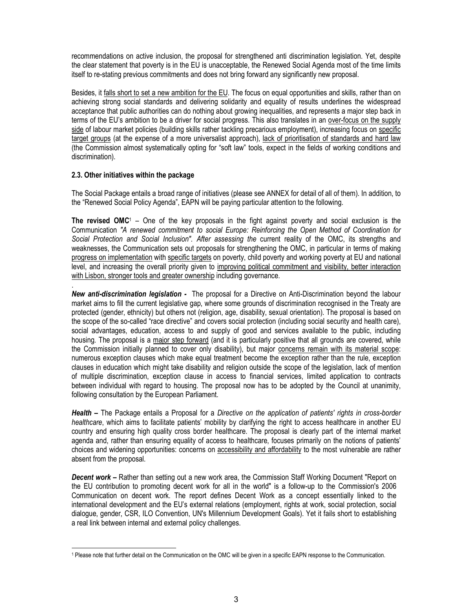recommendations on active inclusion, the proposal for strengthened anti discrimination legislation. Yet, despite the clear statement that poverty is in the EU is unacceptable, the Renewed Social Agenda most of the time limits itself to re-stating previous commitments and does not bring forward any significantly new proposal.

Besides, it falls short to set a new ambition for the EU. The focus on equal opportunities and skills, rather than on achieving strong social standards and delivering solidarity and equality of results underlines the widespread acceptance that public authorities can do nothing about growing inequalities, and represents a major step back in terms of the EU's ambition to be a driver for social progress. This also translates in an over-focus on the supply side of labour market policies (building skills rather tackling precarious employment), increasing focus on specific target groups (at the expense of a more universalist approach), lack of prioritisation of standards and hard law (the Commission almost systematically opting for "soft law" tools, expect in the fields of working conditions and discrimination).

# 2.3. Other initiatives within the package

The Social Package entails a broad range of initiatives (please see ANNEX for detail of all of them). In addition, to the "Renewed Social Policy Agenda", EAPN will be paying particular attention to the following.

**The revised OMC**<sup>1</sup> – One of the key proposals in the fight against poverty and social exclusion is the Communication "A renewed commitment to social Europe: Reinforcing the Open Method of Coordination for Social Protection and Social Inclusion". After assessing the current reality of the OMC, its strengths and weaknesses, the Communication sets out proposals for strengthening the OMC, in particular in terms of making progress on implementation with specific targets on poverty, child poverty and working poverty at EU and national level, and increasing the overall priority given to improving political commitment and visibility, better interaction with Lisbon, stronger tools and greater ownership including governance.

. New anti-discrimination legislation - The proposal for a Directive on Anti-Discrimination beyond the labour market aims to fill the current legislative gap, where some grounds of discrimination recognised in the Treaty are protected (gender, ethnicity) but others not (religion, age, disability, sexual orientation). The proposal is based on the scope of the so-called "race directive" and covers social protection (including social security and health care), social advantages, education, access to and supply of good and services available to the public, including housing. The proposal is a major step forward (and it is particularly positive that all grounds are covered, while the Commission initially planned to cover only disability), but major concerns remain with its material scope: numerous exception clauses which make equal treatment become the exception rather than the rule, exception clauses in education which might take disability and religion outside the scope of the legislation, lack of mention of multiple discrimination, exception clause in access to financial services, limited application to contracts between individual with regard to housing. The proposal now has to be adopted by the Council at unanimity, following consultation by the European Parliament.

**Health –** The Package entails a Proposal for a Directive on the application of patients' rights in cross-border healthcare, which aims to facilitate patients' mobility by clarifying the right to access healthcare in another EU country and ensuring high quality cross border healthcare. The proposal is clearly part of the internal market agenda and, rather than ensuring equality of access to healthcare, focuses primarily on the notions of patients' choices and widening opportunities: concerns on accessibility and affordability to the most vulnerable are rather absent from the proposal.

**Decent work – Rather than setting out a new work area, the Commission Staff Working Document "Report on** the EU contribution to promoting decent work for all in the world" is a follow-up to the Commission's 2006 Communication on decent work. The report defines Decent Work as a concept essentially linked to the international development and the EU's external relations (employment, rights at work, social protection, social dialogue, gender, CSR, ILO Convention, UN's Millennium Development Goals). Yet it fails short to establishing a real link between internal and external policy challenges.

<sup>-</sup><sup>1</sup> Please note that further detail on the Communication on the OMC will be given in a specific EAPN response to the Communication.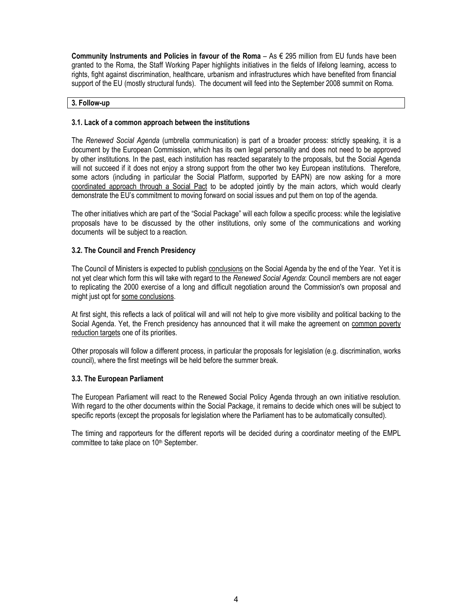Community Instruments and Policies in favour of the Roma – As  $\epsilon$  295 million from EU funds have been granted to the Roma, the Staff Working Paper highlights initiatives in the fields of lifelong learning, access to rights, fight against discrimination, healthcare, urbanism and infrastructures which have benefited from financial support of the EU (mostly structural funds). The document will feed into the September 2008 summit on Roma.

#### 3. Follow-up

#### 3.1. Lack of a common approach between the institutions

The Renewed Social Agenda (umbrella communication) is part of a broader process: strictly speaking, it is a document by the European Commission, which has its own legal personality and does not need to be approved by other institutions. In the past, each institution has reacted separately to the proposals, but the Social Agenda will not succeed if it does not enjoy a strong support from the other two key European institutions. Therefore, some actors (including in particular the Social Platform, supported by EAPN) are now asking for a more coordinated approach through a Social Pact to be adopted jointly by the main actors, which would clearly demonstrate the EU's commitment to moving forward on social issues and put them on top of the agenda.

The other initiatives which are part of the "Social Package" will each follow a specific process: while the legislative proposals have to be discussed by the other institutions, only some of the communications and working documents will be subject to a reaction.

# 3.2. The Council and French Presidency

The Council of Ministers is expected to publish conclusions on the Social Agenda by the end of the Year. Yet it is not yet clear which form this will take with regard to the Renewed Social Agenda: Council members are not eager to replicating the 2000 exercise of a long and difficult negotiation around the Commission's own proposal and might just opt for some conclusions.

At first sight, this reflects a lack of political will and will not help to give more visibility and political backing to the Social Agenda. Yet, the French presidency has announced that it will make the agreement on common poverty reduction targets one of its priorities.

Other proposals will follow a different process, in particular the proposals for legislation (e.g. discrimination, works council), where the first meetings will be held before the summer break.

# 3.3. The European Parliament

The European Parliament will react to the Renewed Social Policy Agenda through an own initiative resolution. With regard to the other documents within the Social Package, it remains to decide which ones will be subject to specific reports (except the proposals for legislation where the Parliament has to be automatically consulted).

The timing and rapporteurs for the different reports will be decided during a coordinator meeting of the EMPL committee to take place on 10<sup>th</sup> September.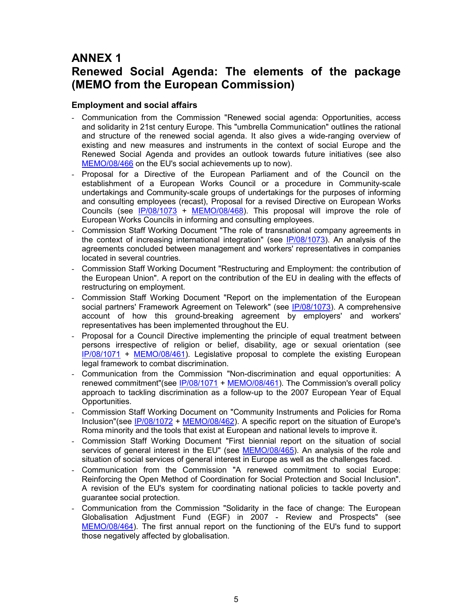# ANNEX 1

# Renewed Social Agenda: The elements of the package (MEMO from the European Commission)

# Employment and social affairs

- Communication from the Commission "Renewed social agenda: Opportunities, access and solidarity in 21st century Europe. This "umbrella Communication" outlines the rational and structure of the renewed social agenda. It also gives a wide-ranging overview of existing and new measures and instruments in the context of social Europe and the Renewed Social Agenda and provides an outlook towards future initiatives (see also MEMO/08/466 on the EU's social achievements up to now).
- Proposal for a Directive of the European Parliament and of the Council on the establishment of a European Works Council or a procedure in Community-scale undertakings and Community-scale groups of undertakings for the purposes of informing and consulting employees (recast), Proposal for a revised Directive on European Works Councils (see IP/08/1073 + MEMO/08/468). This proposal will improve the role of European Works Councils in informing and consulting employees.
- Commission Staff Working Document "The role of transnational company agreements in the context of increasing international integration" (see IP/08/1073). An analysis of the agreements concluded between management and workers' representatives in companies located in several countries.
- Commission Staff Working Document "Restructuring and Employment: the contribution of the European Union". A report on the contribution of the EU in dealing with the effects of restructuring on employment.
- Commission Staff Working Document "Report on the implementation of the European social partners' Framework Agreement on Telework" (see IP/08/1073). A comprehensive account of how this ground-breaking agreement by employers' and workers' representatives has been implemented throughout the EU.
- Proposal for a Council Directive implementing the principle of equal treatment between persons irrespective of religion or belief, disability, age or sexual orientation (see IP/08/1071 + MEMO/08/461). Legislative proposal to complete the existing European legal framework to combat discrimination.
- Communication from the Commission "Non-discrimination and equal opportunities: A renewed commitment"(see IP/08/1071 + MEMO/08/461). The Commission's overall policy approach to tackling discrimination as a follow-up to the 2007 European Year of Equal Opportunities.
- Commission Staff Working Document on "Community Instruments and Policies for Roma Inclusion"(see IP/08/1072 + MEMO/08/462). A specific report on the situation of Europe's Roma minority and the tools that exist at European and national levels to improve it.
- Commission Staff Working Document "First biennial report on the situation of social services of general interest in the EU" (see MEMO/08/465). An analysis of the role and situation of social services of general interest in Europe as well as the challenges faced.
- Communication from the Commission "A renewed commitment to social Europe: Reinforcing the Open Method of Coordination for Social Protection and Social Inclusion". A revision of the EU's system for coordinating national policies to tackle poverty and guarantee social protection.
- Communication from the Commission "Solidarity in the face of change: The European Globalisation Adjustment Fund (EGF) in 2007 - Review and Prospects" (see MEMO/08/464). The first annual report on the functioning of the EU's fund to support those negatively affected by globalisation.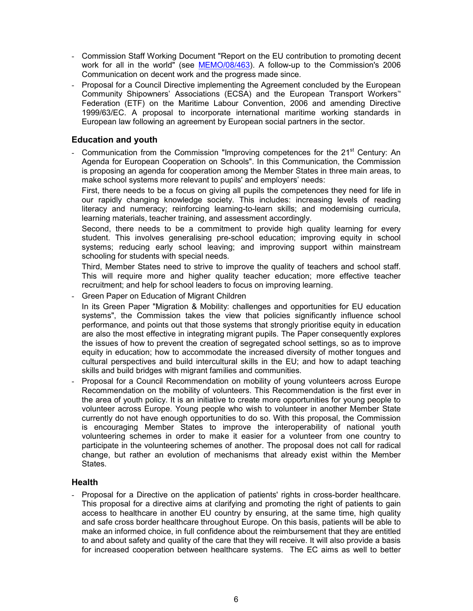- Commission Staff Working Document "Report on the EU contribution to promoting decent work for all in the world" (see MEMO/08/463). A follow-up to the Commission's 2006 Communication on decent work and the progress made since.
- Proposal for a Council Directive implementing the Agreement concluded by the European Community Shipowners' Associations (ECSA) and the European Transport Workers'' Federation (ETF) on the Maritime Labour Convention, 2006 and amending Directive 1999/63/EC. A proposal to incorporate international maritime working standards in European law following an agreement by European social partners in the sector.

# Education and youth

- Communication from the Commission "Improving competences for the 21<sup>st</sup> Century: An Agenda for European Cooperation on Schools". In this Communication, the Commission is proposing an agenda for cooperation among the Member States in three main areas, to make school systems more relevant to pupils' and employers' needs:

First, there needs to be a focus on giving all pupils the competences they need for life in our rapidly changing knowledge society. This includes: increasing levels of reading literacy and numeracy; reinforcing learning-to-learn skills; and modernising curricula, learning materials, teacher training, and assessment accordingly.

Second, there needs to be a commitment to provide high quality learning for every student. This involves generalising pre-school education; improving equity in school systems; reducing early school leaving; and improving support within mainstream schooling for students with special needs.

Third, Member States need to strive to improve the quality of teachers and school staff. This will require more and higher quality teacher education; more effective teacher recruitment; and help for school leaders to focus on improving learning.

- Green Paper on Education of Migrant Children

In its Green Paper "Migration & Mobility: challenges and opportunities for EU education systems", the Commission takes the view that policies significantly influence school performance, and points out that those systems that strongly prioritise equity in education are also the most effective in integrating migrant pupils. The Paper consequently explores the issues of how to prevent the creation of segregated school settings, so as to improve equity in education; how to accommodate the increased diversity of mother tongues and cultural perspectives and build intercultural skills in the EU; and how to adapt teaching skills and build bridges with migrant families and communities.

Proposal for a Council Recommendation on mobility of young volunteers across Europe Recommendation on the mobility of volunteers. This Recommendation is the first ever in the area of youth policy. It is an initiative to create more opportunities for young people to volunteer across Europe. Young people who wish to volunteer in another Member State currently do not have enough opportunities to do so. With this proposal, the Commission is encouraging Member States to improve the interoperability of national youth volunteering schemes in order to make it easier for a volunteer from one country to participate in the volunteering schemes of another. The proposal does not call for radical change, but rather an evolution of mechanisms that already exist within the Member States.

# **Health**

- Proposal for a Directive on the application of patients' rights in cross-border healthcare. This proposal for a directive aims at clarifying and promoting the right of patients to gain access to healthcare in another EU country by ensuring, at the same time, high quality and safe cross border healthcare throughout Europe. On this basis, patients will be able to make an informed choice, in full confidence about the reimbursement that they are entitled to and about safety and quality of the care that they will receive. It will also provide a basis for increased cooperation between healthcare systems. The EC aims as well to better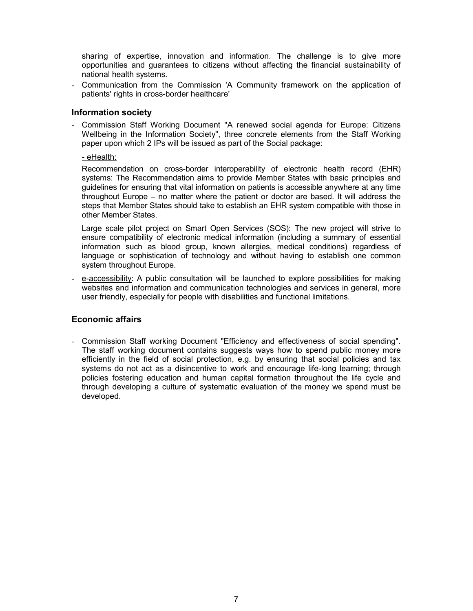sharing of expertise, innovation and information. The challenge is to give more opportunities and guarantees to citizens without affecting the financial sustainability of national health systems.

- Communication from the Commission 'A Community framework on the application of patients' rights in cross-border healthcare'

# Information society

- Commission Staff Working Document "A renewed social agenda for Europe: Citizens Wellbeing in the Information Society", three concrete elements from the Staff Working paper upon which 2 IPs will be issued as part of the Social package:

# - eHealth:

Recommendation on cross-border interoperability of electronic health record (EHR) systems: The Recommendation aims to provide Member States with basic principles and guidelines for ensuring that vital information on patients is accessible anywhere at any time throughout Europe – no matter where the patient or doctor are based. It will address the steps that Member States should take to establish an EHR system compatible with those in other Member States.

Large scale pilot project on Smart Open Services (SOS): The new project will strive to ensure compatibility of electronic medical information (including a summary of essential information such as blood group, known allergies, medical conditions) regardless of language or sophistication of technology and without having to establish one common system throughout Europe.

- e-accessibility: A public consultation will be launched to explore possibilities for making websites and information and communication technologies and services in general, more user friendly, especially for people with disabilities and functional limitations.

# Economic affairs

- Commission Staff working Document "Efficiency and effectiveness of social spending". The staff working document contains suggests ways how to spend public money more efficiently in the field of social protection, e.g. by ensuring that social policies and tax systems do not act as a disincentive to work and encourage life-long learning; through policies fostering education and human capital formation throughout the life cycle and through developing a culture of systematic evaluation of the money we spend must be developed.